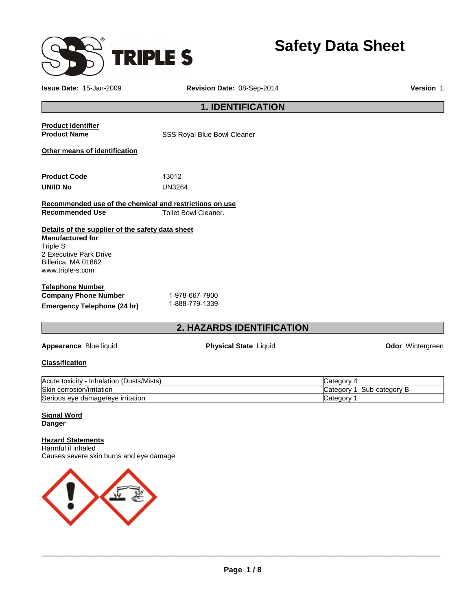

**Issue Date:** 15-Jan-2009 **Revision Date:** 08-Sep-2014 **Version** 1

# **1. IDENTIFICATION**

| <b>Product Identifier</b><br><b>Product Name</b>                                                                                                                                       | <b>SSS Royal Blue Bowl Cleaner</b> |
|----------------------------------------------------------------------------------------------------------------------------------------------------------------------------------------|------------------------------------|
| Other means of identification                                                                                                                                                          |                                    |
| <b>Product Code</b><br>UN/ID No                                                                                                                                                        | 13012<br><b>UN3264</b>             |
| Recommended use of the chemical and restrictions on use                                                                                                                                |                                    |
| <b>Recommended Use</b><br>Details of the supplier of the safety data sheet<br><b>Manufactured for</b><br>Triple S<br>2 Executive Park Drive<br>Billerica, MA 01862<br>www.triple-s.com | <b>Toilet Bowl Cleaner.</b>        |
| Telephone Number<br><b>Company Phone Number</b><br>Emergency Telephone (24 hr)                                                                                                         | 1-978-667-7900<br>1-888-779-1339   |

# **2. HAZARDS IDENTIFICATION**

# **Appearance** Blue liquid **Physical State** Liquid **Odor** Wintergreen

# **Classification**

| Acute toxicity<br>Inhalation (Dusts/Mists) | ∵ategorvس                 |
|--------------------------------------------|---------------------------|
| <b>Skin</b><br>corrosion/irritation        | Sub-categorv<br>lCategor\ |
| Serious eye damage/eye irritation          | Category                  |

**Signal Word Danger** 

# **Hazard Statements**

Harmful if inhaled Causes severe skin burns and eye damage

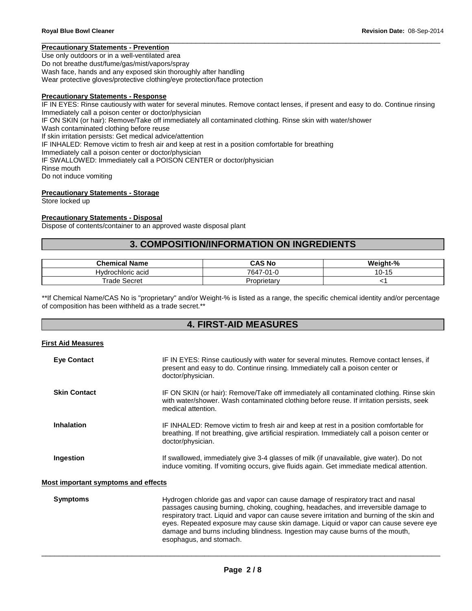# **Precautionary Statements - Prevention**

Use only outdoors or in a well-ventilated area Do not breathe dust/fume/gas/mist/vapors/spray Wash face, hands and any exposed skin thoroughly after handling Wear protective gloves/protective clothing/eye protection/face protection

#### **Precautionary Statements - Response**

IF IN EYES: Rinse cautiously with water for several minutes. Remove contact lenses, if present and easy to do. Continue rinsing Immediately call a poison center or doctor/physician IF ON SKIN (or hair): Remove/Take off immediately all contaminated clothing. Rinse skin with water/shower Wash contaminated clothing before reuse If skin irritation persists: Get medical advice/attention IF INHALED: Remove victim to fresh air and keep at rest in a position comfortable for breathing Immediately call a poison center or doctor/physician IF SWALLOWED: Immediately call a POISON CENTER or doctor/physician Rinse mouth Do not induce vomiting

\_\_\_\_\_\_\_\_\_\_\_\_\_\_\_\_\_\_\_\_\_\_\_\_\_\_\_\_\_\_\_\_\_\_\_\_\_\_\_\_\_\_\_\_\_\_\_\_\_\_\_\_\_\_\_\_\_\_\_\_\_\_\_\_\_\_\_\_\_\_\_\_\_\_\_\_\_\_\_\_\_\_\_\_\_\_\_\_\_\_\_\_\_

#### **Precautionary Statements - Storage**

Store locked up

#### **Precautionary Statements - Disposal**

Dispose of contents/container to an approved waste disposal plant

# **3. COMPOSITION/INFORMATION ON INGREDIENTS**

| <b>Chemical Name</b> | CAS No      | Weight-%  |
|----------------------|-------------|-----------|
| Hydrochloric acid    | 7647-01-0   | $10 - 15$ |
| ୮rade Secret         | Proprietary |           |

\*\*If Chemical Name/CAS No is "proprietary" and/or Weight-% is listed as a range, the specific chemical identity and/or percentage of composition has been withheld as a trade secret.\*\*

# **4. FIRST-AID MEASURES**

#### **First Aid Measures**

| <b>Eye Contact</b>                         | IF IN EYES: Rinse cautiously with water for several minutes. Remove contact lenses, if<br>present and easy to do. Continue rinsing. Immediately call a poison center or<br>doctor/physician.                |
|--------------------------------------------|-------------------------------------------------------------------------------------------------------------------------------------------------------------------------------------------------------------|
| <b>Skin Contact</b>                        | IF ON SKIN (or hair): Remove/Take off immediately all contaminated clothing. Rinse skin<br>with water/shower. Wash contaminated clothing before reuse. If irritation persists, seek<br>medical attention.   |
| <b>Inhalation</b>                          | IF INHALED: Remove victim to fresh air and keep at rest in a position comfortable for<br>breathing. If not breathing, give artificial respiration. Immediately call a poison center or<br>doctor/physician. |
| Ingestion                                  | If swallowed, immediately give 3-4 glasses of milk (if unavailable, give water). Do not<br>induce vomiting. If vomiting occurs, give fluids again. Get immediate medical attention.                         |
| <b>Most important symptoms and effects</b> |                                                                                                                                                                                                             |
| <b>Symptoms</b>                            | Hydrogen chloride gas and vapor can cause damage of respiratory tract and nasal                                                                                                                             |

passages causing burning, choking, coughing, headaches, and irreversible damage to respiratory tract. Liquid and vapor can cause severe irritation and burning of the skin and eyes. Repeated exposure may cause skin damage. Liquid or vapor can cause severe eye damage and burns including blindness. Ingestion may cause burns of the mouth, esophagus, and stomach.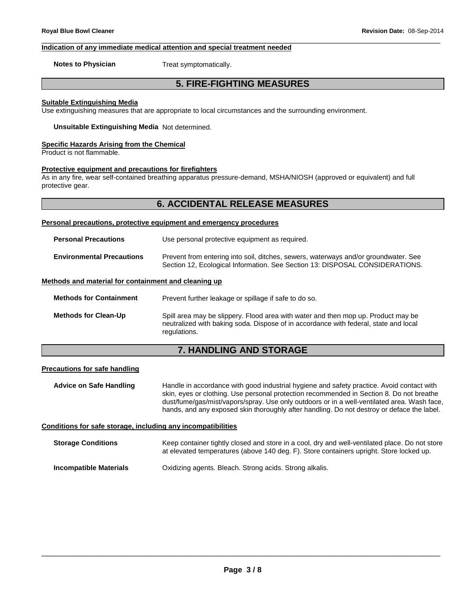# **Indication of any immediate medical attention and special treatment needed**

**Notes to Physician**  Treat symptomatically.

# **5. FIRE-FIGHTING MEASURES**

\_\_\_\_\_\_\_\_\_\_\_\_\_\_\_\_\_\_\_\_\_\_\_\_\_\_\_\_\_\_\_\_\_\_\_\_\_\_\_\_\_\_\_\_\_\_\_\_\_\_\_\_\_\_\_\_\_\_\_\_\_\_\_\_\_\_\_\_\_\_\_\_\_\_\_\_\_\_\_\_\_\_\_\_\_\_\_\_\_\_\_\_\_

#### **Suitable Extinguishing Media**

Use extinguishing measures that are appropriate to local circumstances and the surrounding environment.

**Unsuitable Extinguishing Media** Not determined.

#### **Specific Hazards Arising from the Chemical**

Product is not flammable.

#### **Protective equipment and precautions for firefighters**

As in any fire, wear self-contained breathing apparatus pressure-demand, MSHA/NIOSH (approved or equivalent) and full protective gear.

# **6. ACCIDENTAL RELEASE MEASURES**

#### **Personal precautions, protective equipment and emergency procedures**

| <b>Personal Precautions</b>      | Use personal protective equipment as required.                                                                                                                      |  |  |
|----------------------------------|---------------------------------------------------------------------------------------------------------------------------------------------------------------------|--|--|
| <b>Environmental Precautions</b> | Prevent from entering into soil, ditches, sewers, waterways and/or groundwater. See<br>Section 12, Ecological Information. See Section 13: DISPOSAL CONSIDERATIONS. |  |  |

#### **Methods and material for containment and cleaning up**

**Methods for Containment** Prevent further leakage or spillage if safe to do so.

**Methods for Clean-Up** Spill area may be slippery. Flood area with water and then mop up. Product may be neutralized with baking soda. Dispose of in accordance with federal, state and local regulations.

# **7. HANDLING AND STORAGE**

## **Precautions for safe handling**

**Advice on Safe Handling** Handle in accordance with good industrial hygiene and safety practice. Avoid contact with skin, eyes or clothing. Use personal protection recommended in Section 8. Do not breathe dust/fume/gas/mist/vapors/spray. Use only outdoors or in a well-ventilated area. Wash face, hands, and any exposed skin thoroughly after handling. Do not destroy or deface the label.

#### **Conditions for safe storage, including any incompatibilities**

| <b>Storage Conditions</b>     | Keep container tightly closed and store in a cool, dry and well-ventilated place. Do not store<br>at elevated temperatures (above 140 deg. F). Store containers upright. Store locked up. |
|-------------------------------|-------------------------------------------------------------------------------------------------------------------------------------------------------------------------------------------|
| <b>Incompatible Materials</b> | Oxidizing agents. Bleach. Strong acids. Strong alkalis.                                                                                                                                   |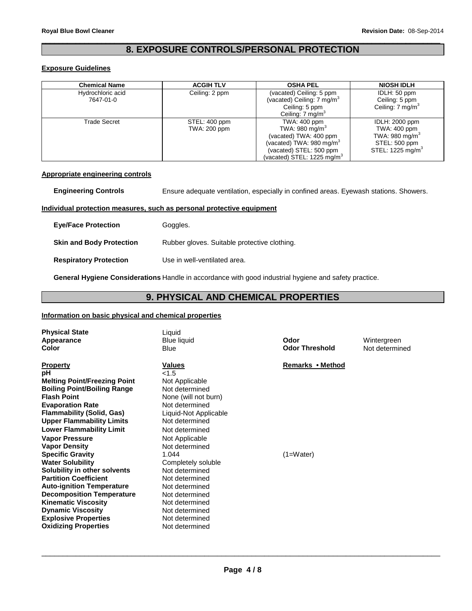# \_\_\_\_\_\_\_\_\_\_\_\_\_\_\_\_\_\_\_\_\_\_\_\_\_\_\_\_\_\_\_\_\_\_\_\_\_\_\_\_\_\_\_\_\_\_\_\_\_\_\_\_\_\_\_\_\_\_\_\_\_\_\_\_\_\_\_\_\_\_\_\_\_\_\_\_\_\_\_\_\_\_\_\_\_\_\_\_\_\_\_\_\_ **8. EXPOSURE CONTROLS/PERSONAL PROTECTION**

# **Exposure Guidelines**

| <b>Chemical Name</b>           | <b>ACGIH TLV</b>              | <b>OSHA PEL</b>                                                                                                                                                        | <b>NIOSH IDLH</b>                                                                                                           |
|--------------------------------|-------------------------------|------------------------------------------------------------------------------------------------------------------------------------------------------------------------|-----------------------------------------------------------------------------------------------------------------------------|
| Hydrochloric acid<br>7647-01-0 | Ceiling: 2 ppm                | (vacated) Ceiling: 5 ppm<br>(vacated) Ceiling: 7 mg/m <sup>3</sup>                                                                                                     | IDLH: 50 ppm<br>Ceiling: 5 ppm                                                                                              |
|                                |                               | Ceiling: 5 ppm<br>Ceiling: 7 mg/m <sup>3</sup>                                                                                                                         | Ceiling: 7 mg/m <sup>3</sup>                                                                                                |
| Trade Secret                   | STEL: 400 ppm<br>TWA: 200 ppm | <b>TWA: 400 ppm</b><br>TWA: 980 mg/m $3$<br>(vacated) TWA: 400 ppm<br>(vacated) TWA: 980 mg/m $3$<br>(vacated) STEL: 500 ppm<br>(vacated) STEL: 1225 mg/m <sup>3</sup> | <b>IDLH: 2000 ppm</b><br><b>TWA: 400 ppm</b><br>TWA: 980 mg/m <sup>3</sup><br>STEL: 500 ppm<br>STEL: 1225 mg/m <sup>3</sup> |

# **Appropriate engineering controls**

**Engineering Controls** Ensure adequate ventilation, especially in confined areas. Eyewash stations. Showers.

# **Individual protection measures, such as personal protective equipment**

| <b>Eye/Face Protection</b>      | Goggles.                                     |
|---------------------------------|----------------------------------------------|
| <b>Skin and Body Protection</b> | Rubber gloves. Suitable protective clothing. |
| <b>Respiratory Protection</b>   | Use in well-ventilated area.                 |

**General Hygiene Considerations** Handle in accordance with good industrial hygiene and safety practice.

# **9. PHYSICAL AND CHEMICAL PROPERTIES**

# **Information on basic physical and chemical properties**

| <b>Physical State</b><br>Appearance<br>Color                                                                                                                                                                                                                                                                                                                                                                                                                                                                                                                                                                                          | Liquid<br><b>Blue liquid</b><br>Blue                                                                                                                                                                                                                                                                                                                                                 | Odor<br><b>Odor Threshold</b>   | Wintergreen<br>Not determined |
|---------------------------------------------------------------------------------------------------------------------------------------------------------------------------------------------------------------------------------------------------------------------------------------------------------------------------------------------------------------------------------------------------------------------------------------------------------------------------------------------------------------------------------------------------------------------------------------------------------------------------------------|--------------------------------------------------------------------------------------------------------------------------------------------------------------------------------------------------------------------------------------------------------------------------------------------------------------------------------------------------------------------------------------|---------------------------------|-------------------------------|
| <b>Property</b><br>pH<br><b>Melting Point/Freezing Point</b><br><b>Boiling Point/Boiling Range</b><br><b>Flash Point</b><br><b>Evaporation Rate</b><br><b>Flammability (Solid, Gas)</b><br><b>Upper Flammability Limits</b><br><b>Lower Flammability Limit</b><br><b>Vapor Pressure</b><br><b>Vapor Density</b><br><b>Specific Gravity</b><br><b>Water Solubility</b><br>Solubility in other solvents<br><b>Partition Coefficient</b><br><b>Auto-ignition Temperature</b><br><b>Decomposition Temperature</b><br><b>Kinematic Viscosity</b><br><b>Dynamic Viscosity</b><br><b>Explosive Properties</b><br><b>Oxidizing Properties</b> | <b>Values</b><br>< 1.5<br>Not Applicable<br>Not determined<br>None (will not burn)<br>Not determined<br>Liquid-Not Applicable<br>Not determined<br>Not determined<br>Not Applicable<br>Not determined<br>1.044<br>Completely soluble<br>Not determined<br>Not determined<br>Not determined<br>Not determined<br>Not determined<br>Not determined<br>Not determined<br>Not determined | Remarks • Method<br>$(1=Water)$ |                               |
|                                                                                                                                                                                                                                                                                                                                                                                                                                                                                                                                                                                                                                       |                                                                                                                                                                                                                                                                                                                                                                                      |                                 |                               |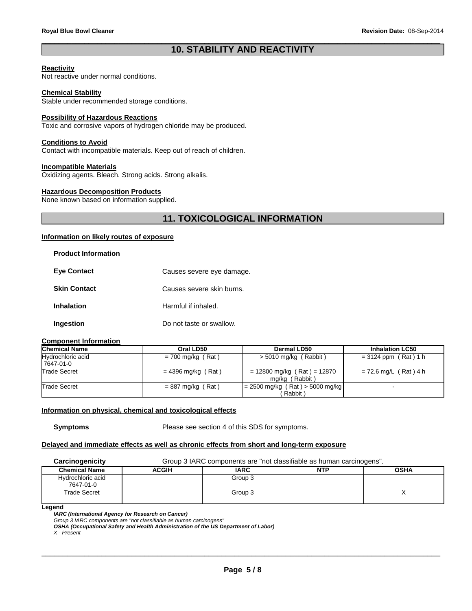# \_\_\_\_\_\_\_\_\_\_\_\_\_\_\_\_\_\_\_\_\_\_\_\_\_\_\_\_\_\_\_\_\_\_\_\_\_\_\_\_\_\_\_\_\_\_\_\_\_\_\_\_\_\_\_\_\_\_\_\_\_\_\_\_\_\_\_\_\_\_\_\_\_\_\_\_\_\_\_\_\_\_\_\_\_\_\_\_\_\_\_\_\_ **10. STABILITY AND REACTIVITY**

## **Reactivity**

Not reactive under normal conditions.

## **Chemical Stability**

Stable under recommended storage conditions.

## **Possibility of Hazardous Reactions**

Toxic and corrosive vapors of hydrogen chloride may be produced.

# **Conditions to Avoid**

Contact with incompatible materials. Keep out of reach of children.

## **Incompatible Materials**

Oxidizing agents. Bleach. Strong acids. Strong alkalis.

## **Hazardous Decomposition Products**

None known based on information supplied.

# **11. TOXICOLOGICAL INFORMATION**

# **Information on likely routes of exposure**

| <b>Product Information</b> |                           |
|----------------------------|---------------------------|
| <b>Eve Contact</b>         | Causes severe eye damage. |
| <b>Skin Contact</b>        | Causes severe skin burns. |
| <b>Inhalation</b>          | Harmful if inhaled.       |
| Ingestion                  | Do not taste or swallow.  |

#### **Component Information**

| <b>Chemical Name</b> | Oral LD50            | Dermal LD50                       | <b>Inhalation LC50</b>   |
|----------------------|----------------------|-----------------------------------|--------------------------|
| Hydrochloric acid    | $= 700$ mg/kg (Rat)  | $>$ 5010 mg/kg (Rabbit)           | $= 3124$ ppm (Rat) 1 h   |
| 7647-01-0            |                      |                                   |                          |
| <b>Trade Secret</b>  | $= 4396$ mg/kg (Rat) | $= 12800$ mg/kg (Rat) = 12870     | $= 72.6$ mg/L (Rat) 4 h  |
|                      |                      | mg/kg (Rabbit)                    |                          |
| <b>Trade Secret</b>  | $= 887$ mg/kg (Rat)  | $= 2500$ mg/kg (Rat) > 5000 mg/kg | $\overline{\phantom{0}}$ |
|                      |                      | Rabbit)                           |                          |

## **Information on physical, chemical and toxicological effects**

**Symptoms** Please see section 4 of this SDS for symptoms.

# **Delayed and immediate effects as well as chronic effects from short and long-term exposure**

**Carcinogenicity** Group 3 IARC components are "not classifiable as human carcinogens".

| . .                            |              | ___<br>_____<br>$\sim$ $\sim$ $\sim$ |            |             |
|--------------------------------|--------------|--------------------------------------|------------|-------------|
| <b>Chemical Name</b>           | <b>ACGIH</b> | <b>IARC</b>                          | <b>NTP</b> | <b>OSHA</b> |
| Hydrochloric acid<br>7647-01-0 |              | Group 3                              |            |             |
| <b>Trade Secret</b>            |              | Group 3                              |            |             |

**Legend** 

**IARC (International Agency for Research on Cancer)** 

X - Present

Group 3 IARC components are "not classifiable as human carcinogens"

**OSHA (Occupational Safety and Health Administration of the US Department of Labor)**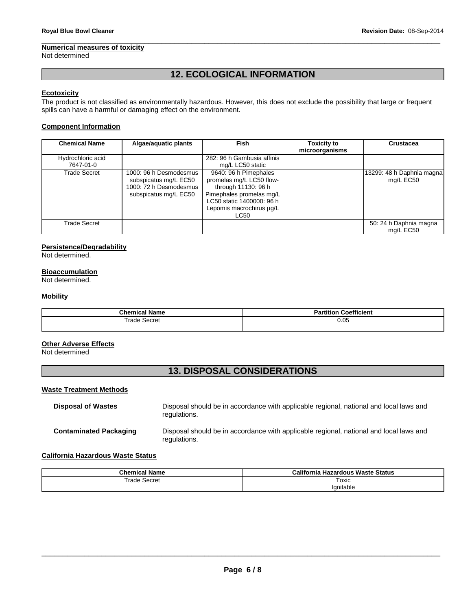# **Numerical measures of toxicity**

Not determined

# **12. ECOLOGICAL INFORMATION**

\_\_\_\_\_\_\_\_\_\_\_\_\_\_\_\_\_\_\_\_\_\_\_\_\_\_\_\_\_\_\_\_\_\_\_\_\_\_\_\_\_\_\_\_\_\_\_\_\_\_\_\_\_\_\_\_\_\_\_\_\_\_\_\_\_\_\_\_\_\_\_\_\_\_\_\_\_\_\_\_\_\_\_\_\_\_\_\_\_\_\_\_\_

# **Ecotoxicity**

The product is not classified as environmentally hazardous. However, this does not exclude the possibility that large or frequent spills can have a harmful or damaging effect on the environment.

# **Component Information**

| <b>Chemical Name</b>           | Algae/aquatic plants                                                                               | <b>Fish</b>                                                                                                                                                                  | Toxicity to<br>microorganisms | <b>Crustacea</b>                       |
|--------------------------------|----------------------------------------------------------------------------------------------------|------------------------------------------------------------------------------------------------------------------------------------------------------------------------------|-------------------------------|----------------------------------------|
| Hydrochloric acid<br>7647-01-0 |                                                                                                    | 282: 96 h Gambusia affinis<br>mg/L LC50 static                                                                                                                               |                               |                                        |
| Trade Secret                   | 1000: 96 h Desmodesmus<br>subspicatus mg/L EC50<br>1000: 72 h Desmodesmus<br>subspicatus mg/L EC50 | 9640: 96 h Pimephales<br>promelas mg/L LC50 flow-<br>through 11130: 96 h<br>Pimephales promelas mg/L<br>LC50 static 1400000: 96 h<br>Lepomis macrochirus µg/L<br><b>LC50</b> |                               | 13299: 48 h Daphnia magna<br>mg/L EC50 |
| Trade Secret                   |                                                                                                    |                                                                                                                                                                              |                               | 50: 24 h Daphnia magna<br>mg/L EC50    |

# **Persistence/Degradability**

Not determined.

# **Bioaccumulation**

Not determined.

## **Mobility**

| Chem<br>Name<br>тисан | <br>Coefficient<br>titior<br>יי |
|-----------------------|---------------------------------|
| -rodr<br>Secret       | 0.05                            |

# **Other Adverse Effects**

Not determined

# **13. DISPOSAL CONSIDERATIONS**

## **Waste Treatment Methods**

| <b>Disposal of Wastes</b>     | Disposal should be in accordance with applicable regional, national and local laws and<br>regulations. |
|-------------------------------|--------------------------------------------------------------------------------------------------------|
| <b>Contaminated Packaging</b> | Disposal should be in accordance with applicable regional, national and local laws and<br>regulations. |

## **California Hazardous Waste Status**

| <b>Chemical Name</b>   | California<br>ı Hazardous Waste Status |  |
|------------------------|----------------------------------------|--|
| <b>Frade</b><br>Secret | Гохіс                                  |  |
|                        | lgnitable                              |  |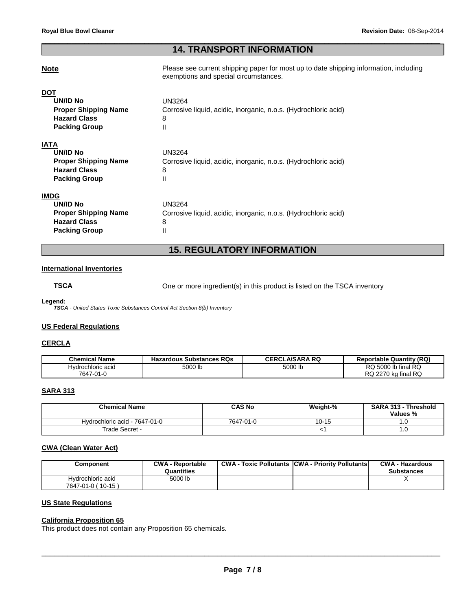# \_\_\_\_\_\_\_\_\_\_\_\_\_\_\_\_\_\_\_\_\_\_\_\_\_\_\_\_\_\_\_\_\_\_\_\_\_\_\_\_\_\_\_\_\_\_\_\_\_\_\_\_\_\_\_\_\_\_\_\_\_\_\_\_\_\_\_\_\_\_\_\_\_\_\_\_\_\_\_\_\_\_\_\_\_\_\_\_\_\_\_\_\_ **14. TRANSPORT INFORMATION**

**DOT** 

**Note Please see current shipping paper for most up to date shipping information, including** exemptions and special circumstances.

| <b>UN/ID No</b><br><b>Proper Shipping Name</b><br><b>Hazard Class</b><br><b>Packing Group</b>                | <b>UN3264</b><br>Corrosive liquid, acidic, inorganic, n.o.s. (Hydrochloric acid)<br>8<br>Ш |
|--------------------------------------------------------------------------------------------------------------|--------------------------------------------------------------------------------------------|
| IATA<br><b>UN/ID No</b><br><b>Proper Shipping Name</b><br><b>Hazard Class</b><br><b>Packing Group</b>        | <b>UN3264</b><br>Corrosive liquid, acidic, inorganic, n.o.s. (Hydrochloric acid)<br>8<br>Ш |
| <b>IMDG</b><br><b>UN/ID No</b><br><b>Proper Shipping Name</b><br><b>Hazard Class</b><br><b>Packing Group</b> | <b>UN3264</b><br>Corrosive liquid, acidic, inorganic, n.o.s. (Hydrochloric acid)<br>8<br>Ш |

# **15. REGULATORY INFORMATION**

## **International Inventories**

**TSCA** One or more ingredient(s) in this product is listed on the TSCA inventory

# **Legend:**

**TSCA** - United States Toxic Substances Control Act Section 8(b) Inventory

# **US Federal Regulations**

# **CERCLA**

| <b>Chemical Name</b> | <b>Hazardous Substances RQs</b> | <b>CERCLA/SARA RQ</b> | <b>Reportable Quantity (RQ)</b> |
|----------------------|---------------------------------|-----------------------|---------------------------------|
| Hydrochloric acid    | 5000 lb                         | 5000 lb               | RQ 5000 lb final RQ             |
| 7647-01-0            |                                 |                       | RQ 2270 kg final RQ             |

# **SARA 313**

| <b>Chemical Name</b>          | <b>CAS No</b> | Weight-%  | <b>SARA 313 - Threshold</b><br>Values % |
|-------------------------------|---------------|-----------|-----------------------------------------|
| Hydrochloric acid - 7647-01-0 | 7647-01-0     | $10 - 15$ |                                         |
| Trade Secret -                |               |           | ט.ו                                     |

## **CWA (Clean Water Act)**

| Component                              | <b>CWA - Reportable</b><br>Quantities | <b>CWA - Toxic Pollutants CWA - Priority Pollutants</b> | <b>CWA - Hazardous</b><br><b>Substances</b> |
|----------------------------------------|---------------------------------------|---------------------------------------------------------|---------------------------------------------|
| Hydrochloric acid<br>7647-01-0 (10-15) | 5000 lb                               |                                                         |                                             |

# **US State Regulations**

## **California Proposition 65**

This product does not contain any Proposition 65 chemicals.